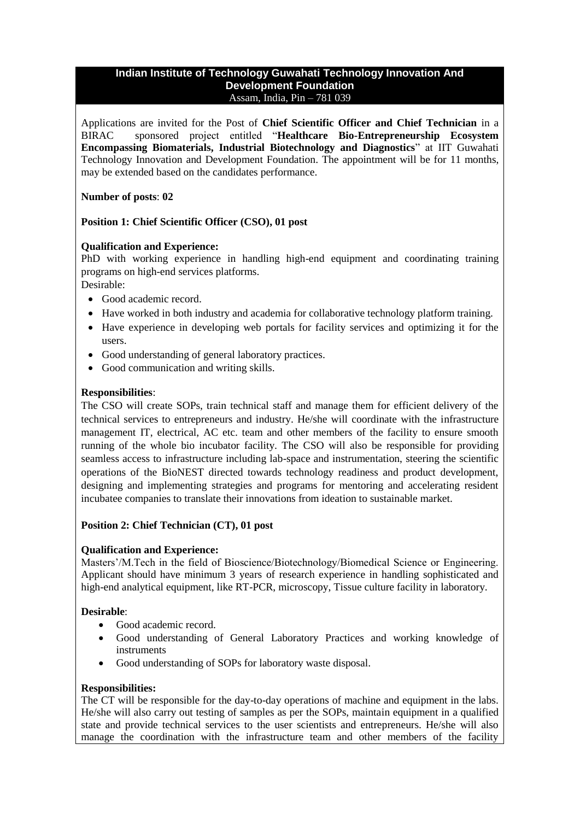#### **Indian Institute of Technology Guwahati Technology Innovation And Development Foundation** Assam, India, Pin – 781 039

Applications are invited for the Post of **Chief Scientific Officer and Chief Technician** in a BIRAC sponsored project entitled "**Healthcare Bio-Entrepreneurship Ecosystem Encompassing Biomaterials, Industrial Biotechnology and Diagnostics**" at IIT Guwahati Technology Innovation and Development Foundation. The appointment will be for 11 months, may be extended based on the candidates performance.

## **Number of posts**: **02**

# **Position 1: Chief Scientific Officer (CSO), 01 post**

## **Qualification and Experience:**

PhD with working experience in handling high-end equipment and coordinating training programs on high-end services platforms.

Desirable:

- Good academic record.
- Have worked in both industry and academia for collaborative technology platform training.
- Have experience in developing web portals for facility services and optimizing it for the users.
- Good understanding of general laboratory practices.
- Good communication and writing skills.

### **Responsibilities**:

The CSO will create SOPs, train technical staff and manage them for efficient delivery of the technical services to entrepreneurs and industry. He/she will coordinate with the infrastructure management IT, electrical, AC etc. team and other members of the facility to ensure smooth running of the whole bio incubator facility. The CSO will also be responsible for providing seamless access to infrastructure including lab-space and instrumentation, steering the scientific operations of the BioNEST directed towards technology readiness and product development, designing and implementing strategies and programs for mentoring and accelerating resident incubatee companies to translate their innovations from ideation to sustainable market.

## **Position 2: Chief Technician (CT), 01 post**

## **Qualification and Experience:**

Masters'/M.Tech in the field of Bioscience/Biotechnology/Biomedical Science or Engineering. Applicant should have minimum 3 years of research experience in handling sophisticated and high-end analytical equipment, like RT-PCR, microscopy, Tissue culture facility in laboratory.

## **Desirable**:

- Good academic record.
- Good understanding of General Laboratory Practices and working knowledge of instruments
- Good understanding of SOPs for laboratory waste disposal.

## **Responsibilities:**

The CT will be responsible for the day-to-day operations of machine and equipment in the labs. He/she will also carry out testing of samples as per the SOPs, maintain equipment in a qualified state and provide technical services to the user scientists and entrepreneurs. He/she will also manage the coordination with the infrastructure team and other members of the facility